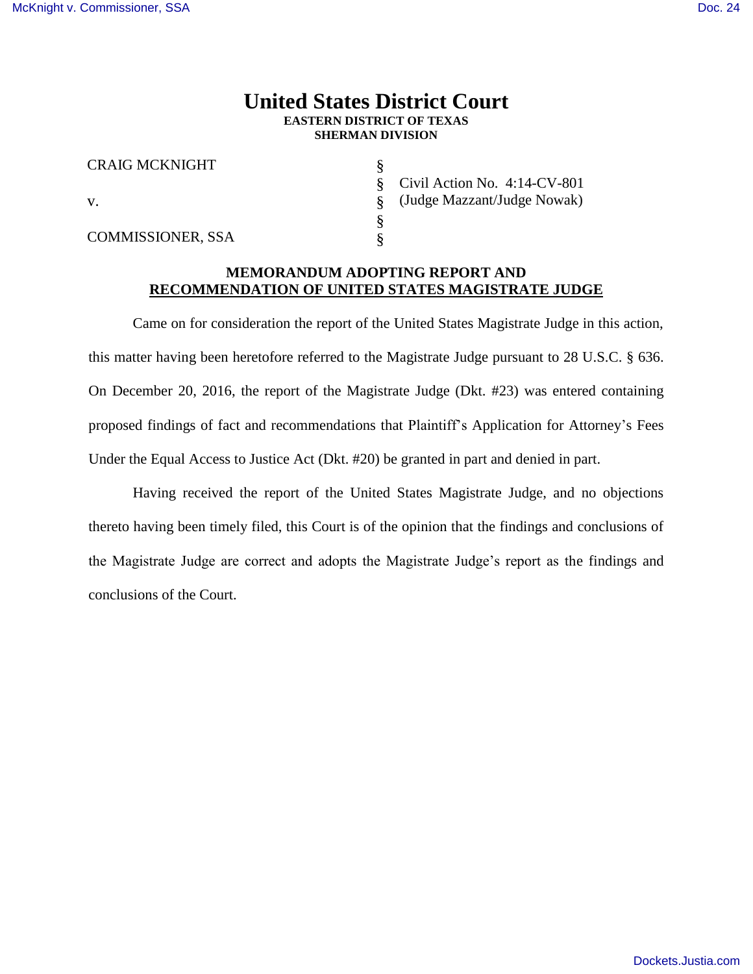## **United States District Court EASTERN DISTRICT OF TEXAS SHERMAN DIVISION**

§ § § § §

| <b>CRAIG MCKNIGHT</b>    |
|--------------------------|
| V.                       |
| <b>COMMISSIONER, SSA</b> |

Civil Action No. 4:14-CV-801 (Judge Mazzant/Judge Nowak)

## **MEMORANDUM ADOPTING REPORT AND RECOMMENDATION OF UNITED STATES MAGISTRATE JUDGE**

Came on for consideration the report of the United States Magistrate Judge in this action, this matter having been heretofore referred to the Magistrate Judge pursuant to 28 U.S.C. § 636. On December 20, 2016, the report of the Magistrate Judge (Dkt. #23) was entered containing proposed findings of fact and recommendations that Plaintiff's Application for Attorney's Fees Under the Equal Access to Justice Act (Dkt. #20) be granted in part and denied in part.

Having received the report of the United States Magistrate Judge, and no objections thereto having been timely filed, this Court is of the opinion that the findings and conclusions of the Magistrate Judge are correct and adopts the Magistrate Judge's report as the findings and conclusions of the Court.